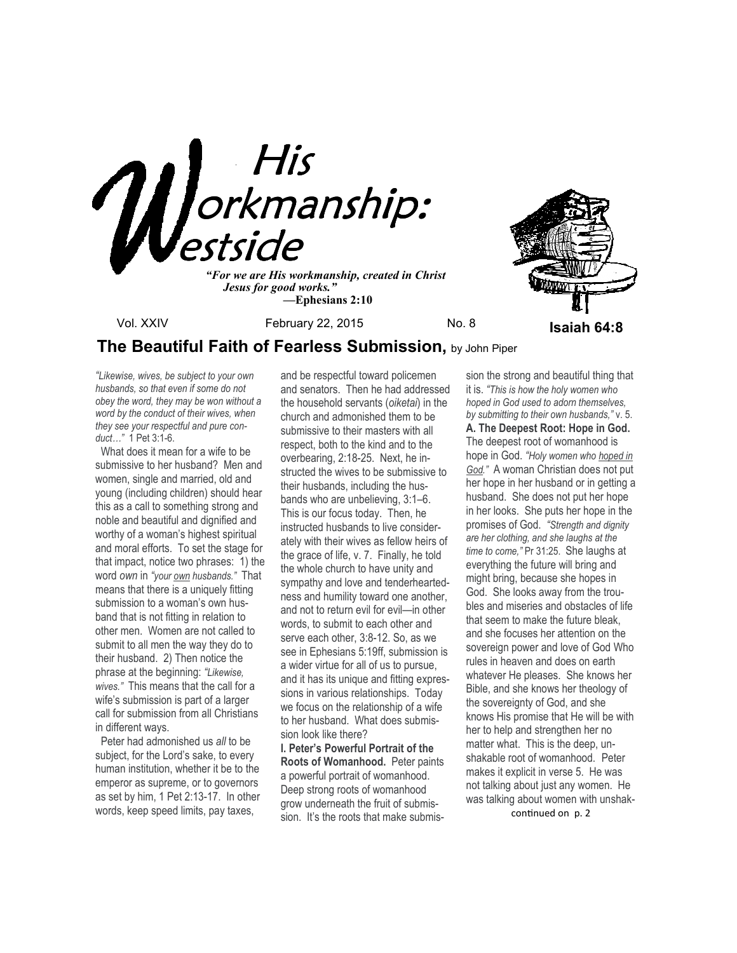

*"For we are His workmanship, created in Christ Jesus for good works." —***Ephesians 2:10**



# **The Beautiful Faith of Fearless Submission,** by John Piper

*"Likewise, wives, be subject to your own husbands, so that even if some do not obey the word, they may be won without a word by the conduct of their wives, when they see your respectful and pure conduct…"* 1 Pet 3:1-6.

 What does it mean for a wife to be submissive to her husband? Men and women, single and married, old and young (including children) should hear this as a call to something strong and noble and beautiful and dignified and worthy of a woman's highest spiritual and moral efforts. To set the stage for that impact, notice two phrases: 1) the word *own* in *"your own husbands."* That means that there is a uniquely fitting submission to a woman's own husband that is not fitting in relation to other men. Women are not called to submit to all men the way they do to their husband. 2) Then notice the phrase at the beginning: *"Likewise, wives."* This means that the call for a wife's submission is part of a larger call for submission from all Christians in different ways.

 Peter had admonished us *all* to be subject, for the Lord's sake, to every human institution, whether it be to the emperor as supreme, or to governors as set by him, 1 Pet 2:13-17. In other words, keep speed limits, pay taxes,

and be respectful toward policemen and senators. Then he had addressed the household servants (*oiketai*) in the church and admonished them to be submissive to their masters with all respect, both to the kind and to the overbearing, 2:18-25. Next, he instructed the wives to be submissive to their husbands, including the husbands who are unbelieving, 3:1–6. This is our focus today. Then, he instructed husbands to live considerately with their wives as fellow heirs of the grace of life, v. 7. Finally, he told the whole church to have unity and sympathy and love and tenderheartedness and humility toward one another, and not to return evil for evil—in other words, to submit to each other and serve each other, 3:8-12. So, as we see in Ephesians 5:19ff, submission is a wider virtue for all of us to pursue, and it has its unique and fitting expressions in various relationships. Today we focus on the relationship of a wife to her husband. What does submission look like there?

**I. Peter's Powerful Portrait of the Roots of Womanhood.** Peter paints a powerful portrait of womanhood. Deep strong roots of womanhood grow underneath the fruit of submission. It's the roots that make submis-

sion the strong and beautiful thing that it is. *"This is how the holy women who hoped in God used to adorn themselves, by submitting to their own husbands,"* v. 5. **A. The Deepest Root: Hope in God.**  The deepest root of womanhood is hope in God. *"Holy women who hoped in God."* A woman Christian does not put her hope in her husband or in getting a husband. She does not put her hope in her looks. She puts her hope in the promises of God. *"Strength and dignity are her clothing, and she laughs at the time to come,"* Pr 31:25. She laughs at everything the future will bring and might bring, because she hopes in God. She looks away from the troubles and miseries and obstacles of life that seem to make the future bleak, and she focuses her attention on the sovereign power and love of God Who rules in heaven and does on earth whatever He pleases. She knows her Bible, and she knows her theology of the sovereignty of God, and she knows His promise that He will be with her to help and strengthen her no matter what. This is the deep, unshakable root of womanhood. Peter makes it explicit in verse 5. He was not talking about just any women. He was talking about women with unshak-

continued on p. 2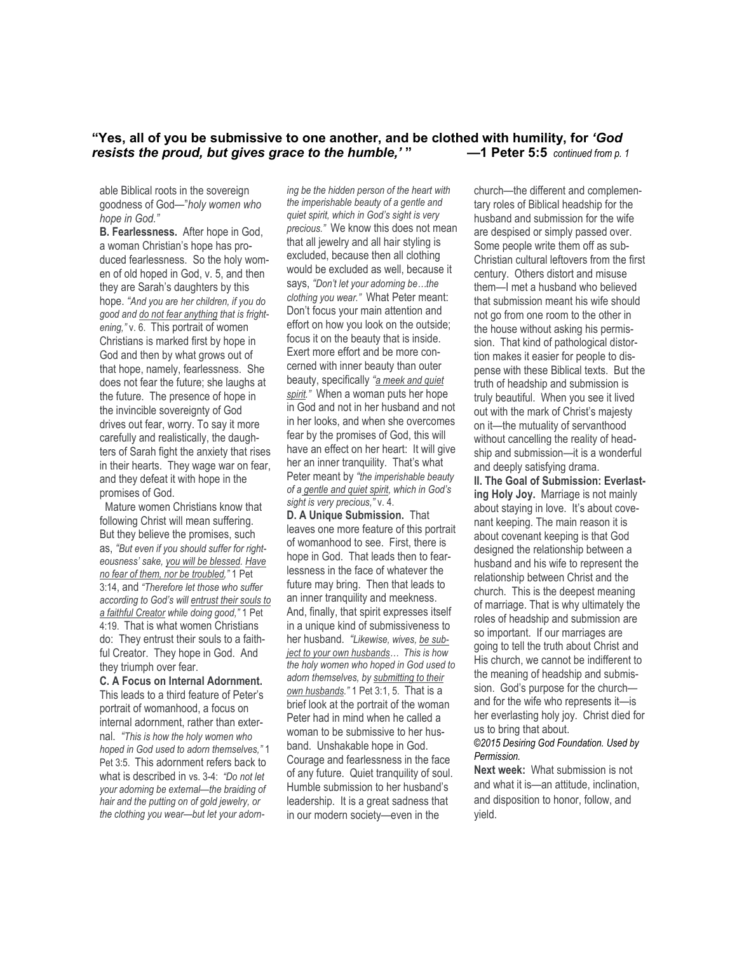## **"Yes, all of you be submissive to one another, and be clothed with humility, for** *'God resists the proud, but gives grace to the humble,'* **" —1 Peter 5:5** *continued from p. 1*

able Biblical roots in the sovereign goodness of God—"*holy women who hope in God."*

**B. Fearlessness.** After hope in God, a woman Christian's hope has produced fearlessness. So the holy women of old hoped in God, v. 5, and then they are Sarah's daughters by this hope. *"And you are her children, if you do good and do not fear anything that is frightening,"* v. 6. This portrait of women Christians is marked first by hope in God and then by what grows out of that hope, namely, fearlessness. She does not fear the future; she laughs at the future. The presence of hope in the invincible sovereignty of God drives out fear, worry. To say it more carefully and realistically, the daughters of Sarah fight the anxiety that rises in their hearts. They wage war on fear, and they defeat it with hope in the promises of God.

 Mature women Christians know that following Christ will mean suffering. But they believe the promises, such as, *"But even if you should suffer for righteousness' sake, you will be blessed. Have no fear of them, nor be troubled,"* 1 Pet 3:14, and *"Therefore let those who suffer according to God's will entrust their souls to a faithful Creator while doing good,"* 1 Pet 4:19. That is what women Christians do: They entrust their souls to a faithful Creator. They hope in God. And they triumph over fear.

#### **C. A Focus on Internal Adornment.**

This leads to a third feature of Peter's portrait of womanhood, a focus on internal adornment, rather than external. *"This is how the holy women who hoped in God used to adorn themselves,"* 1 Pet 3:5. This adornment refers back to what is described in vs. 3-4:*"Do not let your adorning be external—the braiding of hair and the putting on of gold jewelry, or the clothing you wear—but let your adorn-*

*ing be the hidden person of the heart with the imperishable beauty of a gentle and quiet spirit, which in God's sight is very precious."* We know this does not mean that all jewelry and all hair styling is excluded, because then all clothing would be excluded as well, because it says, *"Don't let your adorning be…the clothing you wear."* What Peter meant: Don't focus your main attention and effort on how you look on the outside; focus it on the beauty that is inside. Exert more effort and be more concerned with inner beauty than outer beauty, specifically *"a meek and quiet spirit."* When a woman puts her hope in God and not in her husband and not in her looks, and when she overcomes fear by the promises of God, this will have an effect on her heart: It will give her an inner tranquility. That's what Peter meant by *"the imperishable beauty of a gentle and quiet spirit, which in God's sight is very precious,"* v. 4.

**D. A Unique Submission.** That leaves one more feature of this portrait of womanhood to see. First, there is hope in God. That leads then to fearlessness in the face of whatever the future may bring. Then that leads to an inner tranquility and meekness. And, finally, that spirit expresses itself in a unique kind of submissiveness to her husband. *"Likewise, wives, be subject to your own husbands… This is how the holy women who hoped in God used to adorn themselves, by submitting to their own husbands."* 1 Pet 3:1, 5. That is a brief look at the portrait of the woman Peter had in mind when he called a woman to be submissive to her husband. Unshakable hope in God. Courage and fearlessness in the face of any future. Quiet tranquility of soul. Humble submission to her husband's leadership. It is a great sadness that in our modern society—even in the

church—the different and complementary roles of Biblical headship for the husband and submission for the wife are despised or simply passed over. Some people write them off as sub-Christian cultural leftovers from the first century. Others distort and misuse them—I met a husband who believed that submission meant his wife should not go from one room to the other in the house without asking his permission. That kind of pathological distortion makes it easier for people to dispense with these Biblical texts. But the truth of headship and submission is truly beautiful. When you see it lived out with the mark of Christ's majesty on it—the mutuality of servanthood without cancelling the reality of headship and submission—it is a wonderful and deeply satisfying drama. **II. The Goal of Submission: Everlasting Holy Joy.** Marriage is not mainly about staying in love. It's about covenant keeping. The main reason it is about covenant keeping is that God designed the relationship between a husband and his wife to represent the relationship between Christ and the church. This is the deepest meaning of marriage. That is why ultimately the roles of headship and submission are so important. If our marriages are going to tell the truth about Christ and His church, we cannot be indifferent to the meaning of headship and submission. God's purpose for the church and for the wife who represents it—is her everlasting holy joy. Christ died for us to bring that about.

#### *©2015 Desiring God Foundation. Used by Permission.*

**Next week:** What submission is not and what it is—an attitude, inclination, and disposition to honor, follow, and yield.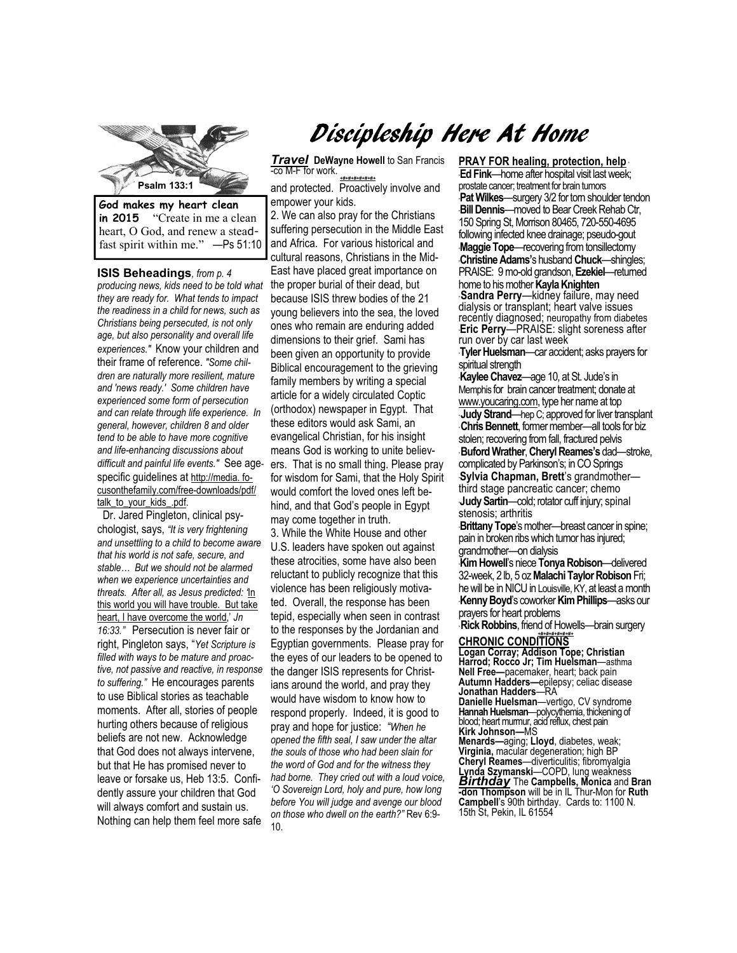

**in 2015** "Create in me a clean heart, O God, and renew a steadfast spirit within me." —Ps 51:10

**ISIS Beheadings***, from p. 4 producing news, kids need to be told what they are ready for. What tends to impact the readiness in a child for news, such as Christians being persecuted, is not only age, but also personality and overall life experiences."* Know your children and their frame of reference. *"Some children are naturally more resilient, mature and 'news ready.' Some children have experienced some form of persecution and can relate through life experience. In general, however, children 8 and older tend to be able to have more cognitive and life-enhancing discussions about difficult and painful life events."* See agespecific guidelines at http://media. focusonthefamily.com/free-downloads/pdf/ talk\_to\_your\_kids\_.pdf.

 Dr. Jared Pingleton, clinical psychologist, says, *"It is very frightening and unsettling to a child to become aware that his world is not safe, secure, and stable… But we should not be alarmed when we experience uncertainties and threats. After all, as Jesus predicted: '*In this world you will have trouble. But take heart, I have overcome the world,' *Jn 16:33."* Persecution is never fair or right, Pingleton says, "*Yet Scripture is filled with ways to be mature and proactive, not passive and reactive, in response to suffering."* He encourages parents to use Biblical stories as teachable moments. After all, stories of people hurting others because of religious beliefs are not new. Acknowledge that God does not always intervene, but that He has promised never to leave or forsake us, Heb 13:5. Confidently assure your children that God will always comfort and sustain us. Nothing can help them feel more safe

# Discipleship Here At Home

*Travel* DeWayne Howell to San Francis -co M-F for work.

*+#+#+#+#+#+#+* and protected. Proactively involve and empower your kids.

2. We can also pray for the Christians suffering persecution in the Middle East and Africa. For various historical and cultural reasons, Christians in the Mid-East have placed great importance on the proper burial of their dead, but because ISIS threw bodies of the 21 young believers into the sea, the loved ones who remain are enduring added dimensions to their grief. Sami has been given an opportunity to provide Biblical encouragement to the grieving family members by writing a special article for a widely circulated Coptic (orthodox) newspaper in Egypt. That these editors would ask Sami, an evangelical Christian, for his insight means God is working to unite believers. That is no small thing. Please pray for wisdom for Sami, that the Holy Spirit would comfort the loved ones left behind, and that God's people in Egypt may come together in truth.

3. While the White House and other U.S. leaders have spoken out against these atrocities, some have also been reluctant to publicly recognize that this violence has been religiously motivated. Overall, the response has been tepid, especially when seen in contrast to the responses by the Jordanian and Egyptian governments. Please pray for the eyes of our leaders to be opened to the danger ISIS represents for Christians around the world, and pray they would have wisdom to know how to respond properly. Indeed, it is good to pray and hope for justice: *"When he opened the fifth seal, I saw under the altar the souls of those who had been slain for the word of God and for the witness they had borne. They cried out with a loud voice, 'O Sovereign Lord, holy and pure, how long before You will judge and avenge our blood on those who dwell on the earth?"* Rev 6:9- 10.

**Christine Adams's husband Chuck—shingles;**<br> **PRAJOE Adams's husband Chuck—shingles; PRAY FOR healing, protection, help** \* **Ed Fink**—home after hospital visit last week; prostate cancer; treatment for brain tumors \***Pat Wilkes**—surgery 3/2 for torn shoulder tendon \***Bill Dennis**—moved to Bear Creek Rehab Ctr, 150 Spring St, Morrison 80465, 720-550-4695 following infected knee drainage; pseudo-gout \***Maggie Tope**—recovering from tonsillectomy PRAISE: 9 mo-old grandson, **Ezekiel**—returned home to his mother **Kayla Knighten**  \* **Sandra Perry**—kidney failure, may need dialysis or transplant; heart valve issues recently diagnosed; neuropathy from diabetes **Eric Perry—PRAISE: slight soreness after** run over by car last week

\***Tyler Huelsman**—car accident; asks prayers for spiritual strength

\***Kaylee Chavez**—age 10, at St. Jude's in Memphis for brain cancer treatment; donate at www.youcaring.com, type her name at top \* **Judy Strand**—hep C; approved for liver transplant \* **Chris Bennett**, former member—all tools for biz stolen; recovering from fall, fractured pelvis \* **Buford Wrather**, **Cheryl Reames's** dad—stroke, complicated by Parkinson's; in CO Springs \***Sylvia Chapman, Brett**'s grandmother third stage pancreatic cancer; chemo **Judy Sartin**—cold; rotator cuff injury; spinal stenosis; arthritis

\***Brittany Tope**'s mother—breast cancer in spine; pain in broken ribs which tumor has injured; grandmother—on dialysis

\***Kim Howell**'s niece **Tonya Robison**—delivered 32-week, 2 lb, 5 oz **Malachi Taylor Robison** Fri; he will be in NICU in Louisville, KY, at least a month \***Kenny Boyd**'s coworker **Kim Phillips**—asks our prayers for heart problems

**Rick Robbins**, friend of Howells—brain surgery *+#+#+#+#+#+#+*  **CHRONIC CONDITIONS** 

**Logan Corray; Addison Tope; Christian Harrod; Rocco Jr; Tim Huelsman**—asthma **Nell Free—**pacemaker, heart; back pain **Autumn Hadders—**epilepsy; celiac disease **Jonathan Hadders**—RA **Danielle Huelsman**—vertigo, CV syndrome **Hannah Huelsman**—polycythemia, thickening of

blood; heart murmur, acid reflux, chest pain **Kirk Johnson—**MS

**Menards—**aging; **Lloyd**, diabetes, weak; **Virginia,** macular degeneration; high BP **Cheryl Reames**—diverticulitis; fibromyalgia **Lynda Szymanski**—COPD, lung weakness *Birthday* The **Campbells, Monica** and **Bran -don Thompson** will be in IL Thur-Mon for **Ruth Campbell**'s 90th birthday. Cards to: 1100 N. 15th St, Pekin, IL 61554